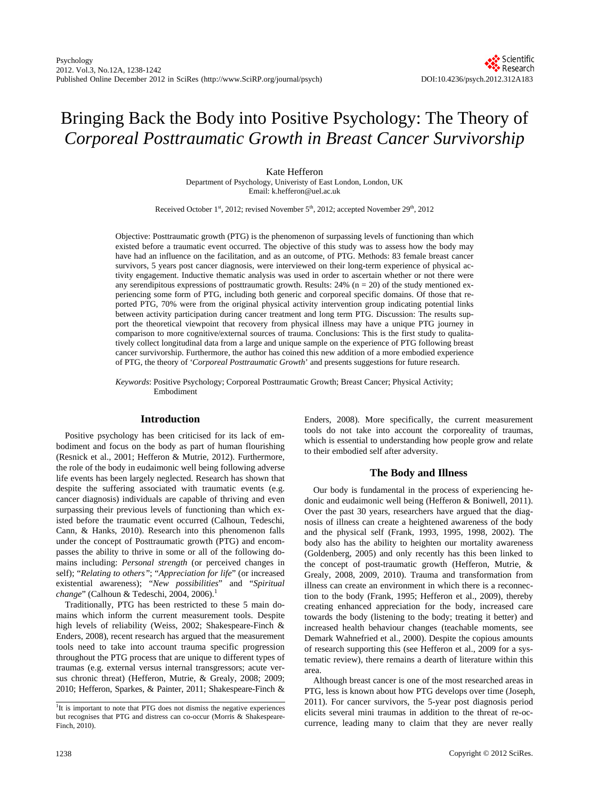# Bringing Back the Body into Positive Psychology: The Theory of *Corporeal Posttraumatic Growth in Breast Cancer Survivorship*

Kate Hefferon

Department of Psychology, Univeristy of East London, London, UK Email: k.hefferon@uel.ac.uk

Received October 1st, 2012; revised November 5<sup>th</sup>, 2012; accepted November 29<sup>th</sup>, 2012

Objective: Posttraumatic growth (PTG) is the phenomenon of surpassing levels of functioning than which existed before a traumatic event occurred. The objective of this study was to assess how the body may have had an influence on the facilitation, and as an outcome, of PTG. Methods: 83 female breast cancer survivors, 5 years post cancer diagnosis, were interviewed on their long-term experience of physical activity engagement. Inductive thematic analysis was used in order to ascertain whether or not there were any serendipitous expressions of posttraumatic growth. Results:  $24\%$  (n = 20) of the study mentioned experiencing some form of PTG, including both generic and corporeal specific domains. Of those that reported PTG, 70% were from the original physical activity intervention group indicating potential links between activity participation during cancer treatment and long term PTG. Discussion: The results support the theoretical viewpoint that recovery from physical illness may have a unique PTG journey in comparison to more cognitive/external sources of trauma. Conclusions: This is the first study to qualitatively collect longitudinal data from a large and unique sample on the experience of PTG following breast cancer survivorship. Furthermore, the author has coined this new addition of a more embodied experience of PTG, the theory of '*Corporeal Posttraumatic Growth*' and presents suggestions for future research.

*Keywords*: Positive Psychology; Corporeal Posttraumatic Growth; Breast Cancer; Physical Activity; Embodiment

## **Introduction**

Positive psychology has been criticised for its lack of embodiment and focus on the body as part of human flourishing (Resnick et al., 2001; Hefferon & Mutrie, 2012). Furthermore, the role of the body in eudaimonic well being following adverse life events has been largely neglected. Research has shown that despite the suffering associated with traumatic events (e.g. cancer diagnosis) individuals are capable of thriving and even surpassing their previous levels of functioning than which existed before the traumatic event occurred (Calhoun, Tedeschi, Cann, & Hanks, 2010). Research into this phenomenon falls under the concept of Posttraumatic growth (PTG) and encompasses the ability to thrive in some or all of the following domains including: *Personal strength* (or perceived changes in self); "*Relating to others"*; "*Appreciation for life*" (or increased existential awareness); "*New possibilities*" and "*Spiritual change*" (Calhoun & Tedeschi, 2004, 2006).<sup>1</sup>

Traditionally, PTG has been restricted to these 5 main domains which inform the current measurement tools. Despite high levels of reliability (Weiss, 2002; Shakespeare-Finch & Enders, 2008), recent research has argued that the measurement tools need to take into account trauma specific progression throughout the PTG process that are unique to different types of traumas (e.g. external versus internal transgressors; acute versus chronic threat) (Hefferon, Mutrie, & Grealy, 2008; 2009; 2010; Hefferon, Sparkes, & Painter, 2011; Shakespeare-Finch & Enders, 2008). More specifically, the current measurement tools do not take into account the corporeality of traumas, which is essential to understanding how people grow and relate to their embodied self after adversity.

# **The Body and Illness**

Our body is fundamental in the process of experiencing hedonic and eudaimonic well being (Hefferon & Boniwell, 2011). Over the past 30 years, researchers have argued that the diagnosis of illness can create a heightened awareness of the body and the physical self (Frank, 1993, 1995, 1998, 2002). The body also has the ability to heighten our mortality awareness (Goldenberg, 2005) and only recently has this been linked to the concept of post-traumatic growth (Hefferon, Mutrie, & Grealy, 2008, 2009, 2010). Trauma and transformation from illness can create an environment in which there is a reconnection to the body (Frank, 1995; Hefferon et al., 2009), thereby creating enhanced appreciation for the body, increased care towards the body (listening to the body; treating it better) and increased health behaviour changes (teachable moments, see Demark Wahnefried et al., 2000). Despite the copious amounts of research supporting this (see Hefferon et al., 2009 for a systematic review), there remains a dearth of literature within this area.

Although breast cancer is one of the most researched areas in PTG, less is known about how PTG develops over time (Joseph, 2011). For cancer survivors, the 5-year post diagnosis period elicits several mini traumas in addition to the threat of re-occurrence, leading many to claim that they are never really

<sup>&</sup>lt;sup>1</sup>It is important to note that PTG does not dismiss the negative experiences but recognises that PTG and distress can co-occur (Morris & Shakespeare-Finch, 2010).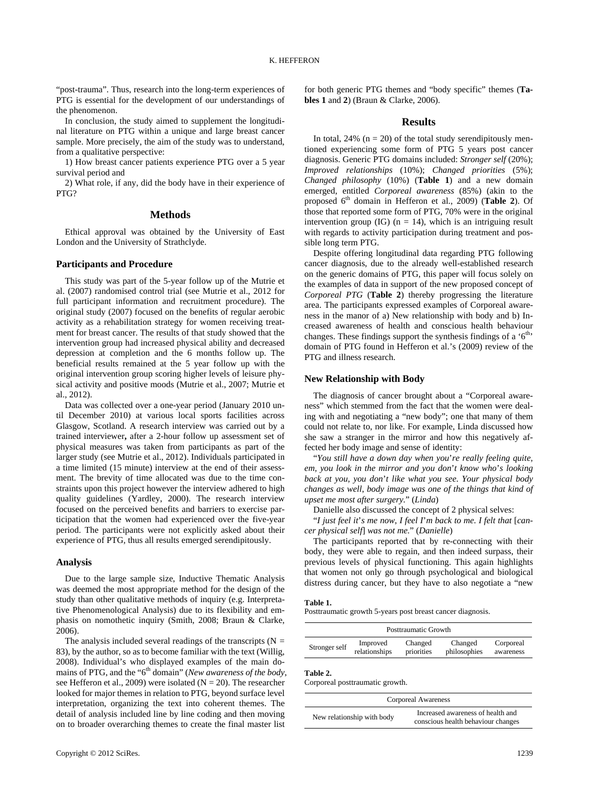"post-trauma". Thus, research into the long-term experiences of PTG is essential for the development of our understandings of the phenomenon.

In conclusion, the study aimed to supplement the longitudinal literature on PTG within a unique and large breast cancer sample. More precisely, the aim of the study was to understand, from a qualitative perspective:

1) How breast cancer patients experience PTG over a 5 year survival period and

2) What role, if any, did the body have in their experience of PTG?

# **Methods**

Ethical approval was obtained by the University of East London and the University of Strathclyde.

## **Participants and Procedure**

This study was part of the 5-year follow up of the Mutrie et al. (2007) randomised control trial (see Mutrie et al., 2012 for full participant information and recruitment procedure). The original study (2007) focused on the benefits of regular aerobic activity as a rehabilitation strategy for women receiving treatment for breast cancer. The results of that study showed that the intervention group had increased physical ability and decreased depression at completion and the 6 months follow up. The beneficial results remained at the 5 year follow up with the original intervention group scoring higher levels of leisure physical activity and positive moods (Mutrie et al., 2007; Mutrie et al., 2012).

Data was collected over a one-year period (January 2010 until December 2010) at various local sports facilities across Glasgow, Scotland. A research interview was carried out by a trained interviewer**,** after a 2-hour follow up assessment set of physical measures was taken from participants as part of the larger study (see Mutrie et al., 2012). Individuals participated in a time limited (15 minute) interview at the end of their assessment. The brevity of time allocated was due to the time constraints upon this project however the interview adhered to high quality guidelines (Yardley, 2000). The research interview focused on the perceived benefits and barriers to exercise participation that the women had experienced over the five-year period. The participants were not explicitly asked about their experience of PTG, thus all results emerged serendipitously.

## **Analysis**

Due to the large sample size, Inductive Thematic Analysis was deemed the most appropriate method for the design of the study than other qualitative methods of inquiry (e.g. Interpretative Phenomenological Analysis) due to its flexibility and emphasis on nomothetic inquiry (Smith, 2008; Braun & Clarke, 2006).

The analysis included several readings of the transcripts  $(N =$ 83), by the author, so as to become familiar with the text (Willig, 2008). Individual's who displayed examples of the main domains of PTG, and the "6<sup>th</sup> domain" (*New awareness of the body*, see Hefferon et al., 2009) were isolated ( $N = 20$ ). The researcher looked for major themes in relation to PTG, beyond surface level interpretation, organizing the text into coherent themes. The detail of analysis included line by line coding and then moving on to broader overarching themes to create the final master list

for both generic PTG themes and "body specific" themes (**Tables 1** and **2**) (Braun & Clarke, 2006).

## **Results**

In total,  $24\%$  (n = 20) of the total study serendipitously mentioned experiencing some form of PTG 5 years post cancer diagnosis. Generic PTG domains included: *Stronger self* (20%); *Improved relationships* (10%); *Changed priorities* (5%); *Changed philosophy* (10%) (**Table 1**) and a new domain emerged, entitled *Corporeal awareness* (85%) (akin to the proposed 6th domain in Hefferon et al., 2009) (**Table 2**). Of those that reported some form of PTG, 70% were in the original intervention group (IG) ( $n = 14$ ), which is an intriguing result with regards to activity participation during treatment and possible long term PTG.

Despite offering longitudinal data regarding PTG following cancer diagnosis, due to the already well-established research on the generic domains of PTG, this paper will focus solely on the examples of data in support of the new proposed concept of *Corporeal PTG* (**Table 2**) thereby progressing the literature area. The participants expressed examples of Corporeal awareness in the manor of a) New relationship with body and b) Increased awareness of health and conscious health behaviour changes. These findings support the synthesis findings of a  $6<sup>th</sup>$ domain of PTG found in Hefferon et al.'s (2009) review of the PTG and illness research.

# **New Relationship with Body**

The diagnosis of cancer brought about a "Corporeal awareness" which stemmed from the fact that the women were dealing with and negotiating a "new body"; one that many of them could not relate to, nor like. For example, Linda discussed how she saw a stranger in the mirror and how this negatively affected her body image and sense of identity:

"*You still have a down day when you*'*re really feeling quite*, *em*, *you look in the mirror and you don*'*t know who*'*s looking back at you*, *you don*'*t like what you see. Your physical body changes as well*, *body image was one of the things that kind of upset me most after surgery.*" (*Linda*)

Danielle also discussed the concept of 2 physical selves:

"*I just feel it*'*s me now*, *I feel I*'*m back to me. I felt that* [*cancer physical self*] *was not me.*" (*Danielle*)

The participants reported that by re-connecting with their body, they were able to regain, and then indeed surpass, their previous levels of physical functioning. This again highlights that women not only go through psychological and biological distress during cancer, but they have to also negotiate a "new

#### **Table 1.**

Posttraumatic growth 5-years post breast cancer diagnosis.

| Posttraumatic Growth |               |            |              |           |
|----------------------|---------------|------------|--------------|-----------|
| Stronger self        | Improved      | Changed    | Changed      | Corporeal |
|                      | relationships | priorities | philosophies | awareness |

### **Table 2.**

Corporeal posttraumatic growth.

| Corporeal Awareness        |                                                                         |  |  |  |
|----------------------------|-------------------------------------------------------------------------|--|--|--|
| New relationship with body | Increased awareness of health and<br>conscious health behaviour changes |  |  |  |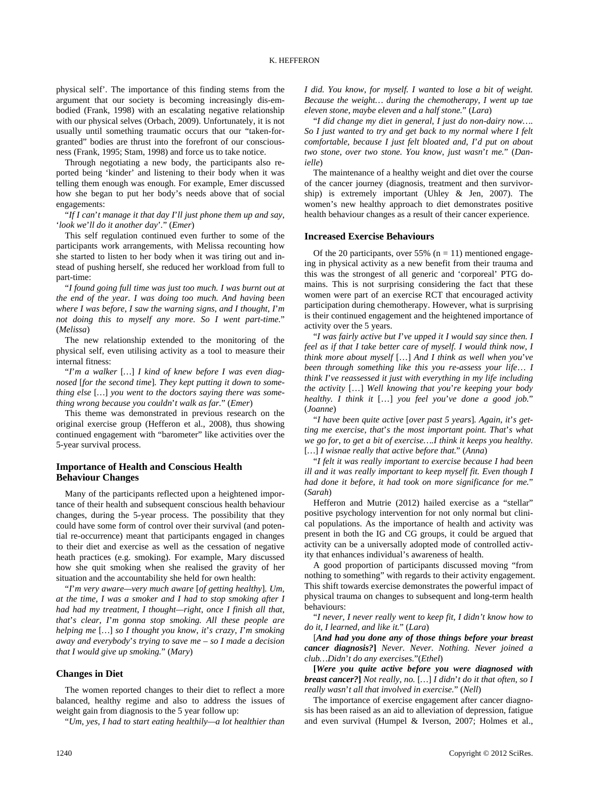physical self'. The importance of this finding stems from the argument that our society is becoming increasingly dis-embodied (Frank, 1998) with an escalating negative relationship with our physical selves (Orbach, 2009). Unfortunately, it is not usually until something traumatic occurs that our "taken-forgranted" bodies are thrust into the forefront of our consciousness (Frank, 1995; Stam, 1998) and force us to take notice.

Through negotiating a new body, the participants also reported being 'kinder' and listening to their body when it was telling them enough was enough. For example, Emer discussed how she began to put her body's needs above that of social engagements:

"*If I can*'*t manage it that day I*'*ll just phone them up and say*, '*look we*'*ll do it another day*'*.*" (*Emer*)

This self regulation continued even further to some of the participants work arrangements, with Melissa recounting how she started to listen to her body when it was tiring out and instead of pushing herself, she reduced her workload from full to part-time:

"*I found going full time was just too much. I was burnt out at the end of the year. I was doing too much. And having been where I was before*, *I saw the warning signs*, *and I thought*, *I*'*m not doing this to myself any more. So I went part-time.*" (*Melissa*)

The new relationship extended to the monitoring of the physical self, even utilising activity as a tool to measure their internal fitness:

"*I*'*m a walker* [*…*] *I kind of knew before I was even diagnosed* [*for the second time*]*. They kept putting it down to something else* [*…*] *you went to the doctors saying there was something wrong because you couldn*'*t walk as far.*" (*Emer*)

This theme was demonstrated in previous research on the original exercise group (Hefferon et al., 2008), thus showing continued engagement with "barometer" like activities over the 5-year survival process.

# **Importance of Health and Conscious Health Behaviour Changes**

Many of the participants reflected upon a heightened importance of their health and subsequent conscious health behaviour changes, during the 5-year process. The possibility that they could have some form of control over their survival (and potential re-occurrence) meant that participants engaged in changes to their diet and exercise as well as the cessation of negative heath practices (e.g. smoking). For example, Mary discussed how she quit smoking when she realised the gravity of her situation and the accountability she held for own health:

"*I*'*m very aware—very much aware* [*of getting healthy*]*. Um*, *at the time*, *I was a smoker and I had to stop smoking after I had had my treatment*, *I thought—right*, *once I finish all that*, *that*'*s clear*, *I*'*m gonna stop smoking. All these people are helping me* [*…*] *so I thought you know*, *it*'*s crazy*, *I*'*m smoking away and everybody*'*s trying to save me – so I made a decision that I would give up smoking.*" (*Mary*)

# **Changes in Diet**

The women reported changes to their diet to reflect a more balanced, healthy regime and also to address the issues of weight gain from diagnosis to the 5 year follow up:

"*Um*, *yes*, *I had to start eating healthily—a lot healthier than* 

*I did. You know*, *for myself. I wanted to lose a bit of weight. Because the weight… during the chemotherapy*, *I went up tae eleven stone*, *maybe eleven and a half stone.*" (*Lara*)

"*I did change my diet in general*, *I just do non-dairy now…. So I just wanted to try and get back to my normal where I felt comfortable*, *because I just felt bloated and*, *I*'*d put on about two stone*, *over two stone. You know*, *just wasn*'*t me.*" (*Danielle*)

The maintenance of a healthy weight and diet over the course of the cancer journey (diagnosis, treatment and then survivorship) is extremely important (Uhley & Jen, 2007). The women's new healthy approach to diet demonstrates positive health behaviour changes as a result of their cancer experience.

#### **Increased Exercise Behaviours**

Of the 20 participants, over 55% ( $n = 11$ ) mentioned engageing in physical activity as a new benefit from their trauma and this was the strongest of all generic and 'corporeal' PTG domains. This is not surprising considering the fact that these women were part of an exercise RCT that encouraged activity participation during chemotherapy. However, what is surprising is their continued engagement and the heightened importance of activity over the 5 years.

"*I was fairly active but I*'*ve upped it I would say since then. I feel as if that I take better care of myself. I would think now*, *I think more about myself* […] *And I think as well when you*'*ve been through something like this you re-assess your life*… *I think I*'*ve reassessed it just with everything in my life including the activity* […] *Well knowing that you*'*re keeping your body healthy. I think it* […] *you feel you*'*ve done a good job.*" (*Joanne*)

"*I have been quite active* [*over past 5 years*]*. Again*, *it*'*s getting me exercise*, *that*'*s the most important point. That*'*s what we go for*, *to get a bit of exercise….I think it keeps you healthy.*  [*…*] *I wisnae really that active before that.*" (*Anna*)

"*I felt it was really important to exercise because I had been ill and it was really important to keep myself fit. Even though I had done it before*, *it had took on more significance for me.*" (*Sarah*)

Hefferon and Mutrie (2012) hailed exercise as a "stellar" positive psychology intervention for not only normal but clinical populations. As the importance of health and activity was present in both the IG and CG groups, it could be argued that activity can be a universally adopted mode of controlled activity that enhances individual's awareness of health.

A good proportion of participants discussed moving "from nothing to something" with regards to their activity engagement. This shift towards exercise demonstrates the powerful impact of physical trauma on changes to subsequent and long-term health behaviours:

"*I never*, *I never really went to keep fit*, *I didn't know how to do it*, *I learned*, *and like it.*" (*Lara*)

[*And had you done any of those things before your breast cancer diagnosis?***]** *Never. Never. Nothing. Never joined a club…Didn*'*t do any exercises.*"(*Ethel*)

**[***Were you quite active before you were diagnosed with breast cancer?***]** *Not really*, *no.* [*…*] *I didn*'*t do it that often*, *so I really wasn*'*t all that involved in exercise.*" (*Nell*)

The importance of exercise engagement after cancer diagnosis has been raised as an aid to alleviation of depression, fatigue and even survival (Humpel & Iverson, 2007; Holmes et al.,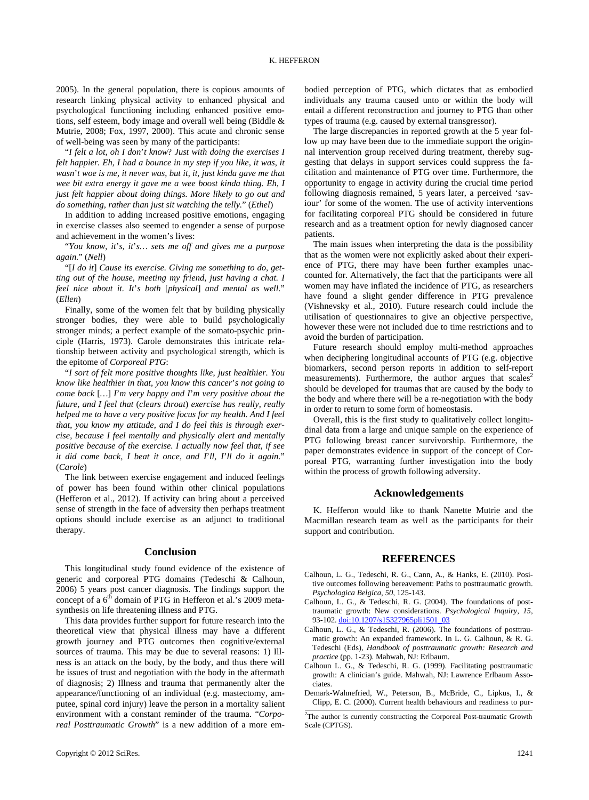2005). In the general population, there is copious amounts of research linking physical activity to enhanced physical and psychological functioning including enhanced positive emotions, self esteem, body image and overall well being (Biddle & Mutrie, 2008; Fox, 1997, 2000). This acute and chronic sense of well-being was seen by many of the participants:

"*I felt a lot*, *oh I don*'*t know*? *Just with doing the exercises I felt happier. Eh*, *I had a bounce in my step if you like*, *it was*, *it wasn*'*t woe is me*, *it never was*, *but it*, *it*, *just kinda gave me that wee bit extra energy it gave me a wee boost kinda thing. Eh*, *I just felt happier about doing things. More likely to go out and do something*, *rather than just sit watching the telly.*" (*Ethel*)

In addition to adding increased positive emotions, engaging in exercise classes also seemed to engender a sense of purpose and achievement in the women's lives:

"*You know*, *it*'*s*, *it*'*s… sets me off and gives me a purpose again.*" (*Nell*)

"[*I do it*] *Cause its exercise. Giving me something to do*, *getting out of the house*, *meeting my friend*, *just having a chat. I feel nice about it. It*'*s both* [*physical*] *and mental as well.*" (*Ellen*)

Finally, some of the women felt that by building physically stronger bodies, they were able to build psychologically stronger minds; a perfect example of the somato-psychic principle (Harris, 1973). Carole demonstrates this intricate relationship between activity and psychological strength, which is the epitome of *Corporeal PTG*:

"*I sort of felt more positive thoughts like*, *just healthier. You know like healthier in that*, *you know this cancer*'*s not going to come back* [*…*] *I*'*m very happy and I*'*m very positive about the future*, *and I feel that* (*clears throat*) *exercise has really*, *really helped me to have a very positive focus for my health. And I feel that*, *you know my attitude*, *and I do feel this is through exercise*, *because I feel mentally and physically alert and mentally positive because of the exercise. I actually now feel that*, *if see it did come back*, *I beat it once*, *and I*'*ll*, *I*'*ll do it again.*" (*Carole*)

The link between exercise engagement and induced feelings of power has been found within other clinical populations (Hefferon et al., 2012). If activity can bring about a perceived sense of strength in the face of adversity then perhaps treatment options should include exercise as an adjunct to traditional therapy.

#### **Conclusion**

This longitudinal study found evidence of the existence of generic and corporeal PTG domains (Tedeschi & Calhoun, 2006) 5 years post cancer diagnosis. The findings support the concept of a  $6<sup>th</sup>$  domain of PTG in Hefferon et al.'s 2009 metasynthesis on life threatening illness and PTG.

This data provides further support for future research into the theoretical view that physical illness may have a different growth journey and PTG outcomes then cognitive/external sources of trauma. This may be due to several reasons: 1) Illness is an attack on the body, by the body, and thus there will be issues of trust and negotiation with the body in the aftermath of diagnosis; 2) Illness and trauma that permanently alter the appearance/functioning of an individual (e.g. mastectomy, amputee, spinal cord injury) leave the person in a mortality salient environment with a constant reminder of the trauma. "*Corporeal Posttraumatic Growth*" is a new addition of a more embodied perception of PTG, which dictates that as embodied individuals any trauma caused unto or within the body will entail a different reconstruction and journey to PTG than other types of trauma (e.g. caused by external transgressor).

The large discrepancies in reported growth at the 5 year follow up may have been due to the immediate support the originnal intervention group received during treatment, thereby suggesting that delays in support services could suppress the facilitation and maintenance of PTG over time. Furthermore, the opportunity to engage in activity during the crucial time period following diagnosis remained, 5 years later, a perceived 'saviour' for some of the women. The use of activity interventions for facilitating corporeal PTG should be considered in future research and as a treatment option for newly diagnosed cancer patients.

The main issues when interpreting the data is the possibility that as the women were not explicitly asked about their experience of PTG, there may have been further examples unaccounted for. Alternatively, the fact that the participants were all women may have inflated the incidence of PTG, as researchers have found a slight gender difference in PTG prevalence (Vishnevsky et al., 2010). Future research could include the utilisation of questionnaires to give an objective perspective, however these were not included due to time restrictions and to avoid the burden of participation.

Future research should employ multi-method approaches when deciphering longitudinal accounts of PTG (e.g. objective biomarkers, second person reports in addition to self-report measurements). Furthermore, the author argues that  $scales<sup>2</sup>$ should be developed for traumas that are caused by the body to the body and where there will be a re-negotiation with the body in order to return to some form of homeostasis.

Overall, this is the first study to qualitatively collect longitudinal data from a large and unique sample on the experience of PTG following breast cancer survivorship. Furthermore, the paper demonstrates evidence in support of the concept of Corporeal PTG, warranting further investigation into the body within the process of growth following adversity.

## **Acknowledgements**

K. Hefferon would like to thank Nanette Mutrie and the Macmillan research team as well as the participants for their support and contribution.

#### **REFERENCES**

- Calhoun, L. G., Tedeschi, R. G., Cann, A., & Hanks, E. (2010). Positive outcomes following bereavement: Paths to posttraumatic growth. *Psychologica Belgica, 50,* 125-143.
- Calhoun, L. G., & Tedeschi, R. G. (2004). The foundations of posttraumatic growth: New considerations. *Psychological Inquiry, 15,* 93-102. [doi:10.1207/s15327965pli1501\\_03](http://dx.doi.org/10.1207/s15327965pli1501_03)
- Calhoun, L. G., & Tedeschi, R. (2006). The foundations of posttraumatic growth: An expanded framework. In L. G. Calhoun, & R. G. Tedeschi (Eds), *Handbook of posttraumatic growth: Research and practice* (pp. 1-23). Mahwah, NJ: Erlbaum.
- Calhoun L. G., & Tedeschi, R. G. (1999). Facilitating posttraumatic growth: A clinician's guide. Mahwah, NJ: Lawrence Erlbaum Associates.
- Demark-Wahnefried, W., Peterson, B., McBride, C., Lipkus, I., & Clipp, E. C. (2000). Current health behaviours and readiness to pur-

<sup>&</sup>lt;sup>2</sup>The author is currently constructing the Corporeal Post-traumatic Growth Scale (CPTGS).